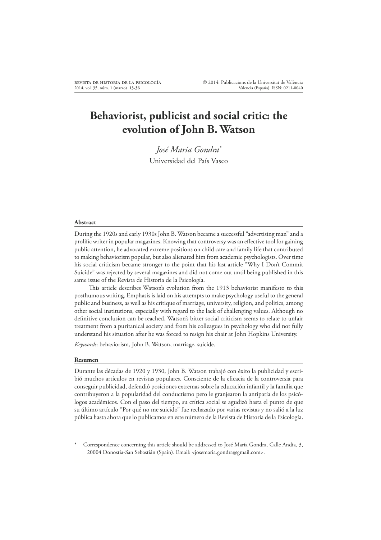# **Behaviorist, publicist and social critic: the evolution of John B. Watson**

*José María Gondra\** Universidad del País Vasco

#### **Abstract**

During the 1920s and early 1930s John B. Watson became a successful "advertising man" and a prolific writer in popular magazines. Knowing that controversy was an effective tool for gaining public attention, he advocated extreme positions on child care and family life that contributed to making behaviorism popular, but also alienated him from academic psychologists. Over time his social criticism became stronger to the point that his last article "Why I Don't Commit Suicide" was rejected by several magazines and did not come out until being published in this same issue of the Revista de Historia de la Psicología.

This article describes Watson's evolution from the 1913 behaviorist manifesto to this posthumous writing. Emphasis is laid on his attempts to make psychology useful to the general public and business, as well as his critique of marriage, university, religion, and politics, among other social institutions, especially with regard to the lack of challenging values. Although no definitive conclusion can be reached, Watson's bitter social criticism seems to relate to unfair treatment from a puritanical society and from his colleagues in psychology who did not fully understand his situation after he was forced to resign his chair at John Hopkins University.

*Keywords*: behaviorism, John B. Watson, marriage, suicide.

#### **Resumen**

Durante las décadas de 1920 y 1930, John B. Watson trabajó con éxito la publicidad y escribió muchos artículos en revistas populares. Consciente de la eficacia de la controversia para conseguir publicidad, defendió posiciones extremas sobre la educación infantil y la familia que contribuyeron a la popularidad del conductismo pero le granjearon la antipatía de los psicólogos académicos. Con el paso del tiempo, su crítica social se agudizó hasta el punto de que su último artículo "Por qué no me suicido" fue rechazado por varias revistas y no salió a la luz pública hasta ahora que lo publicamos en este número de la Revista de Historia de la Psicología.

Correspondence concerning this article should be addressed to José María Gondra, Calle Andía, 3, 20004 Donostia-San Sebastián (Spain). Email: <josemaria.gondra@gmail.com>.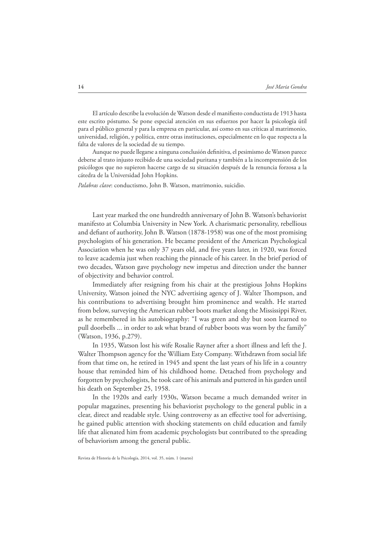El artículo describe la evolución de Watson desde el manifiesto conductista de 1913 hasta este escrito póstumo. Se pone especial atención en sus esfuerzos por hacer la psicología útil para el público general y para la empresa en particular, así como en sus críticas al matrimonio, universidad, religión, y política, entre otras instituciones, especialmente en lo que respecta a la falta de valores de la sociedad de su tiempo.

Aunque no puede llegarse a ninguna conclusión definitiva, el pesimismo de Watson parece deberse al trato injusto recibido de una sociedad puritana y también a la incomprensión de los psicólogos que no supieron hacerse cargo de su situación después de la renuncia forzosa a la cátedra de la Universidad John Hopkins.

*Palabras clave*: conductismo, John B. Watson, matrimonio, suicidio.

Last year marked the one hundredth anniversary of John B. Watson's behaviorist manifesto at Columbia University in New York. A charismatic personality, rebellious and defiant of authority, John B. Watson (1878-1958) was one of the most promising psychologists of his generation. He became president of the American Psychological Association when he was only 37 years old, and five years later, in 1920, was forced to leave academia just when reaching the pinnacle of his career. In the brief period of two decades, Watson gave psychology new impetus and direction under the banner of objectivity and behavior control.

Immediately after resigning from his chair at the prestigious Johns Hopkins University, Watson joined the NYC advertising agency of J. Walter Thompson, and his contributions to advertising brought him prominence and wealth. He started from below, surveying the American rubber boots market along the Mississippi River, as he remembered in his autobiography: "I was green and shy but soon learned to pull doorbells ... in order to ask what brand of rubber boots was worn by the family" (Watson, 1936, p.279).

In 1935, Watson lost his wife Rosalie Rayner after a short illness and left the J. Walter Thompson agency for the William Esty Company. Withdrawn from social life from that time on, he retired in 1945 and spent the last years of his life in a country house that reminded him of his childhood home. Detached from psychology and forgotten by psychologists, he took care of his animals and puttered in his garden until his death on September 25, 1958.

In the 1920s and early 1930s, Watson became a much demanded writer in popular magazines, presenting his behaviorist psychology to the general public in a clear, direct and readable style. Using controversy as an effective tool for advertising, he gained public attention with shocking statements on child education and family life that alienated him from academic psychologists but contributed to the spreading of behaviorism among the general public.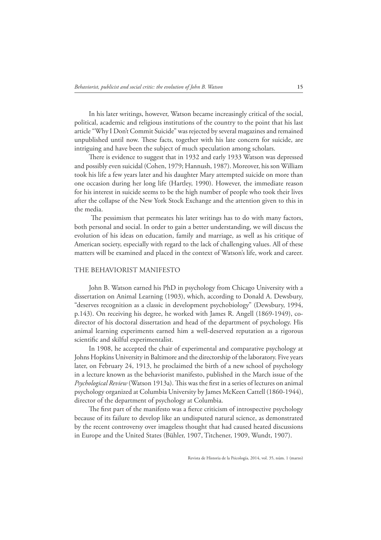In his later writings, however, Watson became increasingly critical of the social, political, academic and religious institutions of the country to the point that his last article "Why I Don't Commit Suicide" was rejected by several magazines and remained unpublished until now. These facts, together with his late concern for suicide, are intriguing and have been the subject of much speculation among scholars.

There is evidence to suggest that in 1932 and early 1933 Watson was depressed and possibly even suicidal (Cohen, 1979; Hannush, 1987). Moreover, his son William took his life a few years later and his daughter Mary attempted suicide on more than one occasion during her long life (Hartley, 1990). However, the immediate reason for his interest in suicide seems to be the high number of people who took their lives after the collapse of the New York Stock Exchange and the attention given to this in the media.

The pessimism that permeates his later writings has to do with many factors, both personal and social. In order to gain a better understanding, we will discuss the evolution of his ideas on education, family and marriage, as well as his critique of American society, especially with regard to the lack of challenging values. All of these matters will be examined and placed in the context of Watson's life, work and career.

# THE BEHAVIORIST MANIFESTO

John B. Watson earned his PhD in psychology from Chicago University with a dissertation on Animal Learning (1903), which, according to Donald A. Dewsbury, "deserves recognition as a classic in development psychobiology" (Dewsbury, 1994, p.143). On receiving his degree, he worked with James R. Angell (1869-1949), codirector of his doctoral dissertation and head of the department of psychology. His animal learning experiments earned him a well-deserved reputation as a rigorous scientific and skilful experimentalist.

In 1908, he accepted the chair of experimental and comparative psychology at Johns Hopkins University in Baltimore and the directorship of the laboratory. Five years later, on February 24, 1913, he proclaimed the birth of a new school of psychology in a lecture known as the behaviorist manifesto, published in the March issue of the *Psychological Review* (Watson 1913a). This was the first in a series of lectures on animal psychology organized at Columbia University by James McKeen Cattell (1860-1944), director of the department of psychology at Columbia.

The first part of the manifesto was a fierce criticism of introspective psychology because of its failure to develop like an undisputed natural science, as demonstrated by the recent controversy over imageless thought that had caused heated discussions in Europe and the United States (Bühler, 1907, Titchener, 1909, Wundt, 1907).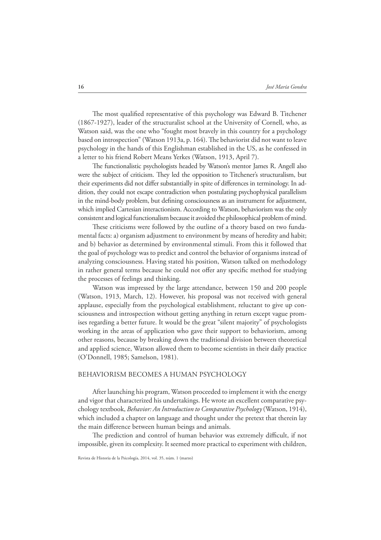The most qualified representative of this psychology was Edward B. Titchener (1867-1927), leader of the structuralist school at the University of Cornell, who, as Watson said, was the one who "fought most bravely in this country for a psychology based on introspection" (Watson 1913a, p. 164). The behaviorist did not want to leave psychology in the hands of this Englishman established in the US, as he confessed in a letter to his friend Robert Means Yerkes (Watson, 1913, April 7).

The functionalistic psychologists headed by Watson's mentor James R. Angell also were the subject of criticism. They led the opposition to Titchener's structuralism, but their experiments did not differ substantially in spite of differences in terminology. In addition, they could not escape contradiction when postulating psychophysical parallelism in the mind-body problem, but defining consciousness as an instrument for adjustment, which implied Cartesian interactionism. According to Watson, behaviorism was the only consistent and logical functionalism because it avoided the philosophical problem of mind.

These criticisms were followed by the outline of a theory based on two fundamental facts: a) organism adjustment to environment by means of heredity and habit; and b) behavior as determined by environmental stimuli. From this it followed that the goal of psychology was to predict and control the behavior of organisms instead of analyzing consciousness. Having stated his position, Watson talked on methodology in rather general terms because he could not offer any specific method for studying the processes of feelings and thinking.

Watson was impressed by the large attendance, between 150 and 200 people (Watson, 1913, March, 12). However, his proposal was not received with general applause, especially from the psychological establishment, reluctant to give up consciousness and introspection without getting anything in return except vague promises regarding a better future. It would be the great "silent majority" of psychologists working in the areas of application who gave their support to behaviorism, among other reasons, because by breaking down the traditional division between theoretical and applied science, Watson allowed them to become scientists in their daily practice (O'Donnell, 1985; Samelson, 1981).

## BEHAVIORISM BECOMES A HUMAN PSYCHOLOGY

After launching his program, Watson proceeded to implement it with the energy and vigor that characterized his undertakings. He wrote an excellent comparative psychology textbook, *Behavior: An Introduction to Comparative Psychology* (Watson, 1914), which included a chapter on language and thought under the pretext that therein lay the main difference between human beings and animals.

The prediction and control of human behavior was extremely difficult, if not impossible, given its complexity. It seemed more practical to experiment with children,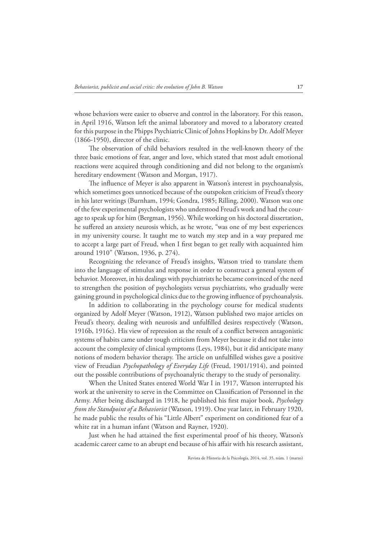whose behaviors were easier to observe and control in the laboratory. For this reason, in April 1916, Watson left the animal laboratory and moved to a laboratory created for this purpose in the Phipps Psychiatric Clinic of Johns Hopkins by Dr. Adolf Meyer (1866-1950), director of the clinic.

The observation of child behaviors resulted in the well-known theory of the three basic emotions of fear, anger and love, which stated that most adult emotional reactions were acquired through conditioning and did not belong to the organism's hereditary endowment (Watson and Morgan, 1917).

The influence of Meyer is also apparent in Watson's interest in psychoanalysis, which sometimes goes unnoticed because of the outspoken criticism of Freud's theory in his later writings (Burnham, 1994; Gondra, 1985; Rilling, 2000). Watson was one of the few experimental psychologists who understood Freud's work and had the courage to speak up for him (Bergman, 1956). While working on his doctoral dissertation, he suffered an anxiety neurosis which, as he wrote, "was one of my best experiences in my university course. It taught me to watch my step and in a way prepared me to accept a large part of Freud, when I first began to get really with acquainted him around 1910" (Watson, 1936, p. 274).

Recognizing the relevance of Freud's insights, Watson tried to translate them into the language of stimulus and response in order to construct a general system of behavior. Moreover, in his dealings with psychiatrists he became convinced of the need to strengthen the position of psychologists versus psychiatrists, who gradually were gaining ground in psychological clinics due to the growing influence of psychoanalysis.

In addition to collaborating in the psychology course for medical students organized by Adolf Meyer (Watson, 1912), Watson published two major articles on Freud's theory, dealing with neurosis and unfulfilled desires respectively (Watson, 1916b, 1916c). His view of repression as the result of a conflict between antagonistic systems of habits came under tough criticism from Meyer because it did not take into account the complexity of clinical symptoms (Leys, 1984), but it did anticipate many notions of modern behavior therapy. The article on unfulfilled wishes gave a positive view of Freudian *Psychopathology of Everyday Life* (Freud, 1901/1914), and pointed out the possible contributions of psychoanalytic therapy to the study of personality.

When the United States entered World War I in 1917, Watson interrupted his work at the university to serve in the Committee on Classification of Personnel in the Army. After being discharged in 1918, he published his first major book, *Psychology from the Standpoint of a Behaviorist* (Watson, 1919). One year later, in February 1920, he made public the results of his "Little Albert" experiment on conditioned fear of a white rat in a human infant (Watson and Rayner, 1920).

Just when he had attained the first experimental proof of his theory, Watson's academic career came to an abrupt end because of his affair with his research assistant,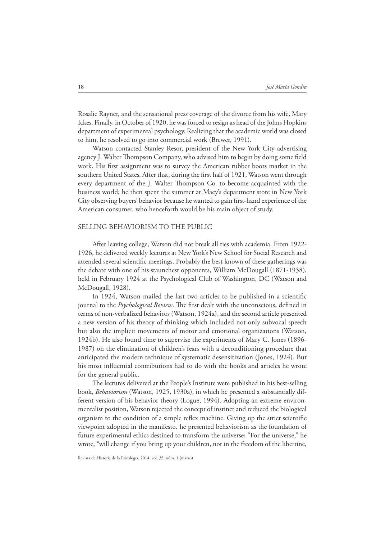Rosalie Rayner, and the sensational press coverage of the divorce from his wife, Mary Ickes. Finally, in October of 1920, he was forced to resign as head of the Johns Hopkins department of experimental psychology. Realizing that the academic world was closed to him, he resolved to go into commercial work (Brewer, 1991).

Watson contacted Stanley Resor, president of the New York City advertising agency J. Walter Thompson Company, who advised him to begin by doing some field work. His first assignment was to survey the American rubber boots market in the southern United States. After that, during the first half of 1921, Watson went through every department of the J. Walter Thompson Co. to become acquainted with the business world; he then spent the summer at Macy's department store in New York City observing buyers' behavior because he wanted to gain first-hand experience of the American consumer, who henceforth would be his main object of study.

### SELLING BEHAVIORISM TO THE PUBLIC

After leaving college, Watson did not break all ties with academia. From 1922- 1926, he delivered weekly lectures at New York's New School for Social Research and attended several scientific meetings. Probably the best known of these gatherings was the debate with one of his staunchest opponents, William McDougall (1871-1938), held in February 1924 at the Psychological Club of Washington, DC (Watson and McDougall, 1928).

In 1924, Watson mailed the last two articles to be published in a scientific journal to the *Psychological Review*. The first dealt with the unconscious, defined in terms of non-verbalized behaviors (Watson, 1924a), and the second article presented a new version of his theory of thinking which included not only subvocal speech but also the implicit movements of motor and emotional organizations (Watson, 1924b). He also found time to supervise the experiments of Mary C. Jones (1896- 1987) on the elimination of children's fears with a deconditioning procedure that anticipated the modern technique of systematic desensitization (Jones, 1924). But his most influential contributions had to do with the books and articles he wrote for the general public.

The lectures delivered at the People's Institute were published in his best-selling book, *Behaviorism* (Watson, 1925, 1930a), in which he presented a substantially different version of his behavior theory (Logue, 1994). Adopting an extreme environmentalist position, Watson rejected the concept of instinct and reduced the biological organism to the condition of a simple reflex machine. Giving up the strict scientific viewpoint adopted in the manifesto*,* he presented behaviorism as the foundation of future experimental ethics destined to transform the universe; "For the universe," he wrote, "will change if you bring up your children, not in the freedom of the libertine,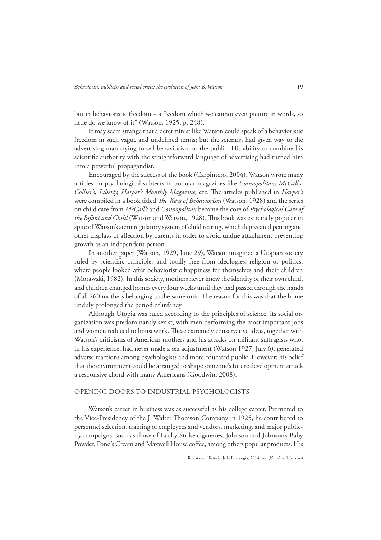but in behavioristic freedom – a freedom which we cannot even picture in words, so little do we know of it" (Watson, 1925, p. 248).

It may seem strange that a determinist like Watson could speak of a behavioristic freedom in such vague and undefined terms; but the scientist had given way to the advertising man trying to sell behaviorism to the public. His ability to combine his scientific authority with the straightforward language of advertising had turned him into a powerful propagandist.

Encouraged by the success of the book (Carpintero, 2004), Watson wrote many articles on psychological subjects in popular magazines like *Cosmopolitan*, *McCall's, Collier's, Liberty, Harper's Monthly Magazine,* etc. The articles published in *Harper's* were compiled in a book titled *The Ways of Behaviorism* (Watson, 1928) and the series on child care from *McCall's* and *Cosmopolitan* became the core of *Psychological Care of the Infant and Child* (Watson and Watson, 1928). Lis book was extremely popular in spite of Watson's stern regulatory system of child rearing, which deprecated petting and other displays of affection by parents in order to avoid undue attachment preventing growth as an independent person.

In another paper (Watson, 1929, June 29), Watson imagined a Utopian society ruled by scientific principles and totally free from ideologies, religion or politics, where people looked after behavioristic happiness for themselves and their children (Morawski, 1982). In this society, mothers never knew the identity of their own child, and children changed homes every four weeks until they had passed through the hands of all 260 mothers belonging to the same unit. Le reason for this was that the home unduly prolonged the period of infancy.

Although Utopia was ruled according to the principles of science, its social organization was predominantly sexist, with men performing the most important jobs and women reduced to housework. These extremely conservative ideas, together with Watson's criticisms of American mothers and his attacks on militant suffragists who, in his experience, had never made a sex adjustment (Watson 1927, July 6), generated adverse reactions among psychologists and more educated public. However; his belief that the environment could be arranged to shape someone's future development struck a responsive chord with many Americans (Goodwin, 2008).

# OPENING DOORS TO INDUSTRIAL PSYCHOLOGISTS

Watson's career in business was as successful as his college career. Promoted to the Vice-Presidency of the J. Walter Thomson Company in 1925, he contributed to personnel selection, training of employees and vendors, marketing, and major publicity campaigns, such as those of Lucky Strike cigarettes, Johnson and Johnson's Baby Powder, Pond's Cream and Maxwell House coffee, among others popular products. His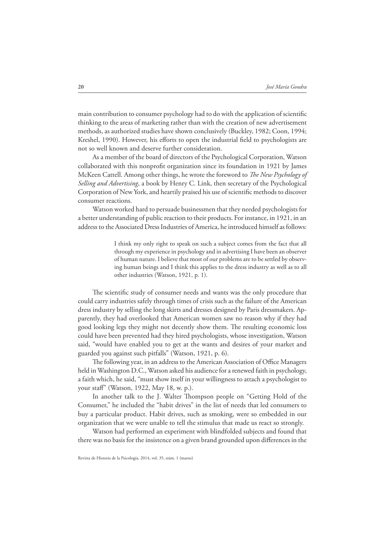main contribution to consumer psychology had to do with the application of scientific thinking to the areas of marketing rather than with the creation of new advertisement methods, as authorized studies have shown conclusively (Buckley, 1982; Coon, 1994; Kreshel, 1990). However, his efforts to open the industrial field to psychologists are not so well known and deserve further consideration.

As a member of the board of directors of the Psychological Corporation, Watson collaborated with this nonprofit organization since its foundation in 1921 by James McKeen Cattell. Among other things, he wrote the foreword to *The New Psychology of Selling and Advertising*, a book by Henry C. Link, then secretary of the Psychological Corporation of New York, and heartily praised his use of scientific methods to discover consumer reactions.

Watson worked hard to persuade businessmen that they needed psychologists for a better understanding of public reaction to their products. For instance, in 1921, in an address to the Associated Dress Industries of America, he introduced himself as follows:

> I think my only right to speak on such a subject comes from the fact that all through my experience in psychology and in advertising I have been an observer of human nature. I believe that most of our problems are to be settled by observing human beings and I think this applies to the dress industry as well as to all other industries (Watson, 1921, p. 1).

The scientific study of consumer needs and wants was the only procedure that could carry industries safely through times of crisis such as the failure of the American dress industry by selling the long skirts and dresses designed by Paris dressmakers. Apparently, they had overlooked that American women saw no reason why if they had good looking legs they might not decently show them. The resulting economic loss could have been prevented had they hired psychologists, whose investigation, Watson said, "would have enabled you to get at the wants and desires of your market and guarded you against such pitfalls" (Watson, 1921, p. 6).

The following year, in an address to the American Association of Office Managers held in Washington D.C., Watson asked his audience for a renewed faith in psychology, a faith which, he said, "must show itself in your willingness to attach a psychologist to your staff" (Watson, 1922, May 18, w. p.).

In another talk to the J. Walter Thompson people on "Getting Hold of the Consumer," he included the "habit drives" in the list of needs that led consumers to buy a particular product. Habit drives, such as smoking, were so embedded in our organization that we were unable to tell the stimulus that made us react so strongly.

Watson had performed an experiment with blindfolded subjects and found that there was no basis for the insistence on a given brand grounded upon differences in the

Revista de Historia de la Psicología, 2014, vol. 35, núm. 1 (marzo)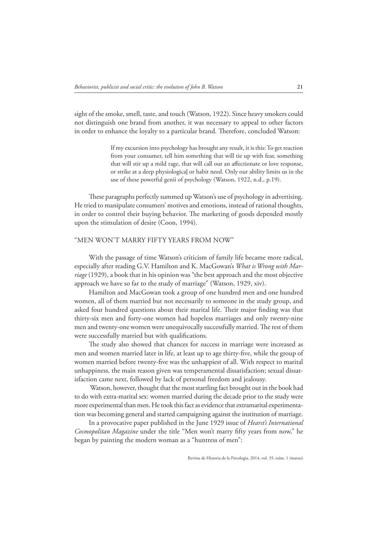sight of the smoke, smell, taste, and touch (Watson, 1922). Since heavy smokers could not distinguish one brand from another, it was necessary to appeal to other factors in order to enhance the lovalty to a particular brand. Therefore, concluded Watson:

> If my excursion into psychology has brought any result, it is this: To get reaction from your consumer, tell him something that will tie up with fear, something that will stir up a mild rage, that will call out an affectionate or love response, or strike at a deep physiological or habit need. Only our ability limits us in the use of these powerful genii of psychology (Watson, 1922, n.d., p.19).

These paragraphs perfectly summed up Watson's use of psychology in advertising. He tried to manipulate consumers' motives and emotions, instead of rational thoughts, in order to control their buying behavior. The marketing of goods depended mostly upon the stimulation of desire (Coon, 1994).

# "MEN WON'T MARRY FIFTY YEARS FROM NOW"

With the passage of time Watson's criticism of family life became more radical, especially after reading G.V. Hamilton and K. MacGowan's *What is Wrong with Marriage* (1929), a book that in his opinion was "the best approach and the most objective approach we have so far to the study of marriage" (Watson, 1929, xiv).

Hamilton and MacGowan took a group of one hundred men and one hundred women, all of them married but not necessarily to someone in the study group, and asked four hundred questions about their marital life. Their major finding was that thirty-six men and forty-one women had hopeless marriages and only twenty-nine men and twenty-one women were unequivocally successfully married. The rest of them were successfully married but with qualifications.

The study also showed that chances for success in marriage were increased as men and women married later in life, at least up to age thirty-five, while the group of women married before twenty-five was the unhappiest of all. With respect to marital unhappiness, the main reason given was temperamental dissatisfaction; sexual dissatisfaction came next, followed by lack of personal freedom and jealousy.

 Watson, however, thought that the most startling fact brought out in the book had to do with extra-marital sex: women married during the decade prior to the study were more experimental than men. He took this fact as evidence that extramarital experimentation was becoming general and started campaigning against the institution of marriage.

In a provocative paper published in the June 1929 issue of *Hearst's International Cosmopolitan Magazine* under the title "Men won't marry fifty years from now," he began by painting the modern woman as a "huntress of men":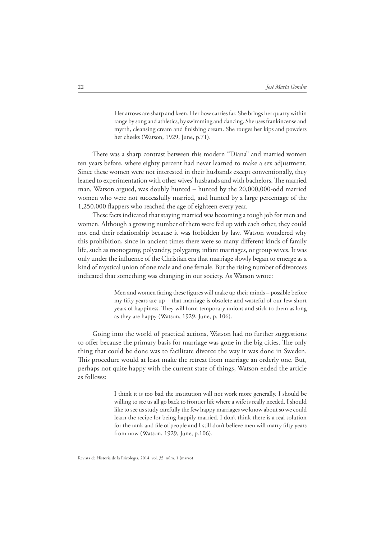Her arrows are sharp and keen. Her bow carries far. She brings her quarry within range by song and athletics, by swimming and dancing. She uses frankincense and myrrh, cleansing cream and finishing cream. She rouges her kips and powders her cheeks (Watson, 1929, June, p.71).

There was a sharp contrast between this modern "Diana" and married women ten years before, where eighty percent had never learned to make a sex adjustment. Since these women were not interested in their husbands except conventionally, they leaned to experimentation with other wives' husbands and with bachelors. The married man, Watson argued, was doubly hunted – hunted by the 20,000,000-odd married women who were not successfully married, and hunted by a large percentage of the 1,250,000 flappers who reached the age of eighteen every year.

These facts indicated that staying married was becoming a tough job for men and women. Although a growing number of them were fed up with each other, they could not end their relationship because it was forbidden by law. Watson wondered why this prohibition, since in ancient times there were so many different kinds of family life, such as monogamy, polyandry, polygamy, infant marriages, or group wives. It was only under the influence of the Christian era that marriage slowly began to emerge as a kind of mystical union of one male and one female. But the rising number of divorcees indicated that something was changing in our society. As Watson wrote:

> Men and women facing these figures will make up their minds – possible before my Afty years are up – that marriage is obsolete and wasteful of our few short years of happiness. They will form temporary unions and stick to them as long as they are happy (Watson, 1929, June, p. 106).

Going into the world of practical actions, Watson had no further suggestions to offer because the primary basis for marriage was gone in the big cities. The only thing that could be done was to facilitate divorce the way it was done in Sweden. This procedure would at least make the retreat from marriage an orderly one. But, perhaps not quite happy with the current state of things, Watson ended the article as follows:

> I think it is too bad the institution will not work more generally. I should be willing to see us all go back to frontier life where a wife is really needed. I should like to see us study carefully the few happy marriages we know about so we could learn the recipe for being happily married. I don't think there is a real solution for the rank and file of people and I still don't believe men will marry fifty years from now (Watson, 1929, June, p.106).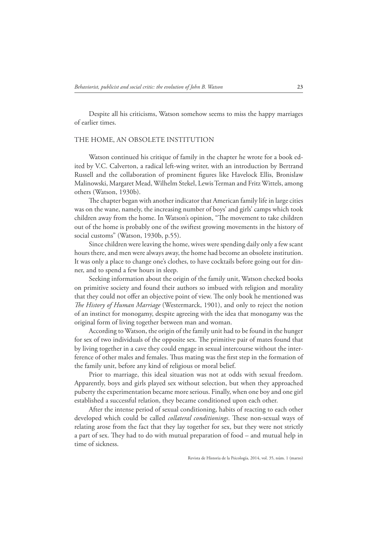Despite all his criticisms, Watson somehow seems to miss the happy marriages of earlier times.

# THE HOME, AN OBSOLETE INSTITUTION

Watson continued his critique of family in the chapter he wrote for a book edited by V.C. Calverton, a radical left-wing writer, with an introduction by Bertrand Russell and the collaboration of prominent figures like Havelock Ellis, Bronislaw Malinowski, Margaret Mead, Wilhelm Stekel, Lewis Terman and Fritz Wittels, among others (Watson, 1930b).

The chapter began with another indicator that American family life in large cities was on the wane, namely, the increasing number of boys' and girls' camps which took children away from the home. In Watson's opinion, "Le movement to take children out of the home is probably one of the swiftest growing movements in the history of social customs" (Watson, 1930b, p.55).

Since children were leaving the home, wives were spending daily only a few scant hours there, and men were always away, the home had become an obsolete institution. It was only a place to change one's clothes, to have cocktails before going out for dinner, and to spend a few hours in sleep.

Seeking information about the origin of the family unit, Watson checked books on primitive society and found their authors so imbued with religion and morality that they could not offer an objective point of view. The only book he mentioned was *The History of Human Marriage* (Westermarck, 1901), and only to reject the notion of an instinct for monogamy, despite agreeing with the idea that monogamy was the original form of living together between man and woman.

According to Watson, the origin of the family unit had to be found in the hunger for sex of two individuals of the opposite sex. The primitive pair of mates found that by living together in a cave they could engage in sexual intercourse without the interference of other males and females. Thus mating was the first step in the formation of the family unit, before any kind of religious or moral belief.

Prior to marriage, this ideal situation was not at odds with sexual freedom. Apparently, boys and girls played sex without selection, but when they approached puberty the experimentation became more serious. Finally, when one boy and one girl established a successful relation, they became conditioned upon each other.

After the intense period of sexual conditioning, habits of reacting to each other developed which could be called *collateral conditionings*. These non-sexual ways of relating arose from the fact that they lay together for sex, but they were not strictly a part of sex. They had to do with mutual preparation of food – and mutual help in time of sickness.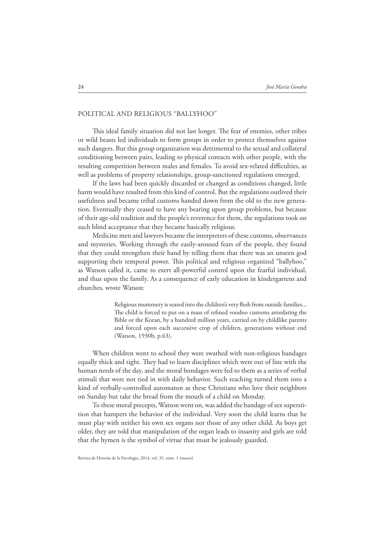# POLITICAL AND RELIGIOUS "BALLYHOO"

This ideal family situation did not last longer. The fear of enemies, other tribes or wild beasts led individuals to form groups in order to protect themselves against such dangers. But this group organization was detrimental to the sexual and collateral conditioning between pairs, leading to physical contacts with other people, with the resulting competition between males and females. To avoid sex-related difficulties, as well as problems of property relationships, group-sanctioned regulations emerged.

If the laws had been quickly discarded or changed as conditions changed, little harm would have resulted from this kind of control. But the regulations outlived their usefulness and became tribal customs handed down from the old to the new generation. Eventually they ceased to have any bearing upon group problems, but because of their age-old tradition and the people's reverence for them, the regulations took on such blind acceptance that they became basically religious.

Medicine men and lawyers became the interpreters of these customs, observances and mysteries. Working through the easily-aroused fears of the people, they found that they could strengthen their hand by telling them that there was an unseen god supporting their temporal power. This political and religious organized "ballyhoo," as Watson called it, came to exert all-powerful control upon the fearful individual, and thus upon the family. As a consequence of early education in kindergartens and churches, wrote Watson:

> Religious mummery is seared into the children's very flesh from outside families... The child is forced to put on a mass of refined voodoo customs antedating the Bible or the Koran, by a hundred million years, carried on by childlike parents and forced upon each successive crop of children, generations without end (Watson, 1930b, p.63).

When children went to school they were swathed with non-religious bandages equally thick and tight. They had to learn disciplines which were out of line with the human needs of the day, and the moral bondages were fed to them as a series of verbal stimuli that were not tied in with daily behavior. Such teaching turned them into a kind of verbally-controlled automaton as these Christians who love their neighbors on Sunday but take the bread from the mouth of a child on Monday.

To these moral precepts, Watson went on, was added the bandage of sex superstition that hampers the behavior of the individual. Very soon the child learns that he must play with neither his own sex organs nor those of any other child. As boys get older, they are told that manipulation of the organ leads to insanity and girls are told that the hymen is the symbol of virtue that must be jealously guarded.

Revista de Historia de la Psicología, 2014, vol. 35, núm. 1 (marzo)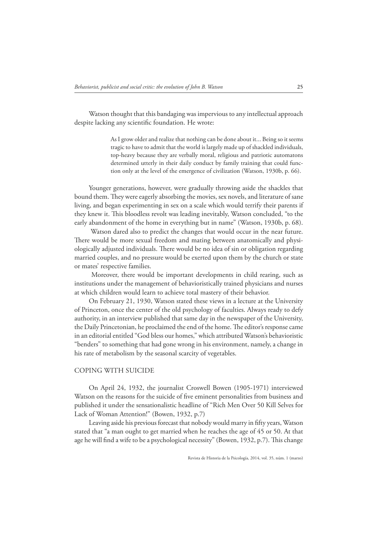Watson thought that this bandaging was impervious to any intellectual approach despite lacking any scientific foundation. He wrote:

> As I grow older and realize that nothing can be done about it... Being so it seems tragic to have to admit that the world is largely made up of shackled individuals, top-heavy because they are verbally moral, religious and patriotic automatons determined utterly in their daily conduct by family training that could function only at the level of the emergence of civilization (Watson, 1930b, p. 66).

Younger generations, however, were gradually throwing aside the shackles that bound them. They were eagerly absorbing the movies, sex novels, and literature of sane living, and began experimenting in sex on a scale which would terrify their parents if they knew it. This bloodless revolt was leading inevitably, Watson concluded, "to the early abandonment of the home in everything but in name" (Watson, 1930b, p. 68).

 Watson dared also to predict the changes that would occur in the near future. There would be more sexual freedom and mating between anatomically and physiologically adjusted individuals. There would be no idea of sin or obligation regarding married couples, and no pressure would be exerted upon them by the church or state or mates' respective families.

 Moreover, there would be important developments in child rearing, such as institutions under the management of behavioristically trained physicians and nurses at which children would learn to achieve total mastery of their behavior.

On February 21, 1930, Watson stated these views in a lecture at the University of Princeton, once the center of the old psychology of faculties. Always ready to defy authority, in an interview published that same day in the newspaper of the University, the Daily Princetonian, he proclaimed the end of the home. The editor's response came in an editorial entitled "God bless our homes," which attributed Watson's behavioristic "benders" to something that had gone wrong in his environment, namely, a change in his rate of metabolism by the seasonal scarcity of vegetables.

# COPING WITH SUICIDE

On April 24, 1932, the journalist Croswell Bowen (1905-1971) interviewed Watson on the reasons for the suicide of five eminent personalities from business and published it under the sensationalistic headline of "Rich Men Over 50 Kill Selves for Lack of Woman Attention!" (Bowen, 1932, p.7)

Leaving aside his previous forecast that nobody would marry in fifty years, Watson stated that "a man ought to get married when he reaches the age of 45 or 50. At that age he will find a wife to be a psychological necessity" (Bowen, 1932, p.7). This change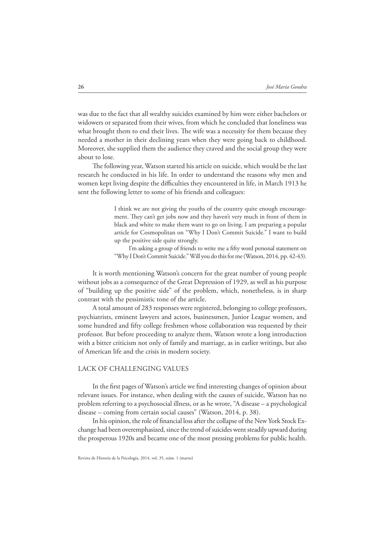was due to the fact that all wealthy suicides examined by him were either bachelors or widowers or separated from their wives, from which he concluded that loneliness was what brought them to end their lives. The wife was a necessity for them because they needed a mother in their declining years when they were going back to childhood. Moreover, she supplied them the audience they craved and the social group they were about to lose.

The following year, Watson started his article on suicide, which would be the last research he conducted in his life. In order to understand the reasons why men and women kept living despite the difficulties they encountered in life, in March 1913 he sent the following letter to some of his friends and colleagues:

> I think we are not giving the youths of the country quite enough encouragement. They can't get jobs now and they haven't very much in front of them in black and white to make them want to go on living. I am preparing a popular article for Cosmopolitan on "Why I Don't Commit Suicide." I want to build up the positive side quite strongly.

> I'm asking a group of friends to write me a fifty word personal statement on "Why I Don't Commit Suicide." Will you do this for me (Watson, 2014, pp. 42-43).

It is worth mentioning Watson's concern for the great number of young people without jobs as a consequence of the Great Depression of 1929, as well as his purpose of "building up the positive side" of the problem, which, nonetheless, is in sharp contrast with the pessimistic tone of the article.

A total amount of 283 responses were registered, belonging to college professors, psychiatrists, eminent lawyers and actors, businessmen, Junior League women, and some hundred and fifty college freshmen whose collaboration was requested by their professor. But before proceeding to analyze them, Watson wrote a long introduction with a bitter criticism not only of family and marriage, as in earlier writings, but also of American life and the crisis in modern society.

## LACK OF CHALLENGING VALUES

In the first pages of Watson's article we find interesting changes of opinion about relevant issues. For instance, when dealing with the causes of suicide, Watson has no problem referring to a psychosocial illness, or as he wrote, "A disease – a psychological disease – coming from certain social causes" (Watson, 2014, p. 38).

In his opinion, the role of financial loss after the collapse of the New York Stock Exchange had been overemphasized, since the trend of suicides went steadily upward during the prosperous 1920s and became one of the most pressing problems for public health.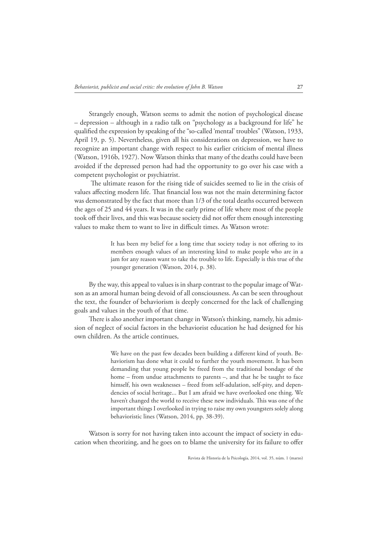Strangely enough, Watson seems to admit the notion of psychological disease – depression – although in a radio talk on "psychology as a background for life" he qualified the expression by speaking of the "so-called 'mental' troubles" (Watson, 1933, April 19, p. 5). Nevertheless, given all his considerations on depression, we have to recognize an important change with respect to his earlier criticism of mental illness (Watson, 1916b, 1927). Now Watson thinks that many of the deaths could have been avoided if the depressed person had had the opportunity to go over his case with a competent psychologist or psychiatrist.

The ultimate reason for the rising tide of suicides seemed to lie in the crisis of values affecting modern life. That financial loss was not the main determining factor was demonstrated by the fact that more than 1/3 of the total deaths occurred between the ages of 25 and 44 years. It was in the early prime of life where most of the people took off their lives, and this was because society did not offer them enough interesting values to make them to want to live in difficult times. As Watson wrote:

> It has been my belief for a long time that society today is not offering to its members enough values of an interesting kind to make people who are in a jam for any reason want to take the trouble to life. Especially is this true of the younger generation (Watson, 2014, p. 38).

By the way, this appeal to values is in sharp contrast to the popular image of Watson as an amoral human being devoid of all consciousness. As can be seen throughout the text, the founder of behaviorism is deeply concerned for the lack of challenging goals and values in the youth of that time.

There is also another important change in Watson's thinking, namely, his admission of neglect of social factors in the behaviorist education he had designed for his own children. As the article continues,

> We have on the past few decades been building a different kind of youth. Behaviorism has done what it could to further the youth movement. It has been demanding that young people be freed from the traditional bondage of the home – from undue attachments to parents –, and that he be taught to face himself, his own weaknesses – freed from self-adulation, self-pity, and dependencies of social heritage... But I am afraid we have overlooked one thing. We haven't changed the world to receive these new individuals. This was one of the important things I overlooked in trying to raise my own youngsters solely along behavioristic lines (Watson, 2014, pp. 38-39).

Watson is sorry for not having taken into account the impact of society in education when theorizing, and he goes on to blame the university for its failure to offer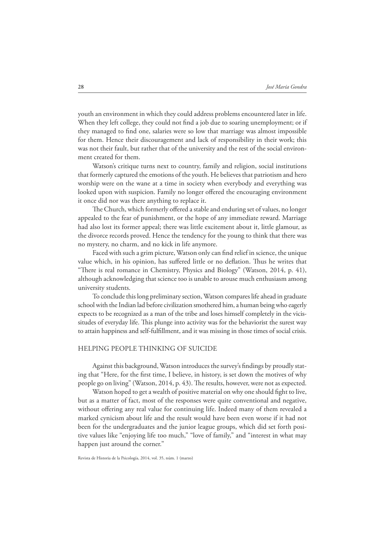youth an environment in which they could address problems encountered later in life. When they left college, they could not find a job due to soaring unemployment; or if they managed to find one, salaries were so low that marriage was almost impossible for them. Hence their discouragement and lack of responsibility in their work; this was not their fault, but rather that of the university and the rest of the social environment created for them.

Watson's critique turns next to country, family and religion, social institutions that formerly captured the emotions of the youth. He believes that patriotism and hero worship were on the wane at a time in society when everybody and everything was looked upon with suspicion. Family no longer offered the encouraging environment it once did nor was there anything to replace it.

The Church, which formerly offered a stable and enduring set of values, no longer appealed to the fear of punishment, or the hope of any immediate reward. Marriage had also lost its former appeal; there was little excitement about it, little glamour, as the divorce records proved. Hence the tendency for the young to think that there was no mystery, no charm, and no kick in life anymore.

Faced with such a grim picture, Watson only can find relief in science, the unique value which, in his opinion, has suffered little or no deflation. Thus he writes that "There is real romance in Chemistry, Physics and Biology" (Watson, 2014, p. 41), although acknowledging that science too is unable to arouse much enthusiasm among university students.

To conclude this long preliminary section, Watson compares life ahead in graduate school with the Indian lad before civilization smothered him, a human being who eagerly expects to be recognized as a man of the tribe and loses himself completely in the vicissitudes of everyday life. This plunge into activity was for the behaviorist the surest way to attain happiness and self-fulfillment, and it was missing in those times of social crisis.

# HELPING PEOPLE THINKING OF SUICIDE

Against this background, Watson introduces the survey's findings by proudly stating that "Here, for the first time, I believe, in history, is set down the motives of why people go on living" (Watson, 2014, p. 43). The results, however, were not as expected.

Watson hoped to get a wealth of positive material on why one should fight to live, but as a matter of fact, most of the responses were quite conventional and negative, without offering any real value for continuing life. Indeed many of them revealed a marked cynicism about life and the result would have been even worse if it had not been for the undergraduates and the junior league groups, which did set forth positive values like "enjoying life too much," "love of family," and "interest in what may happen just around the corner."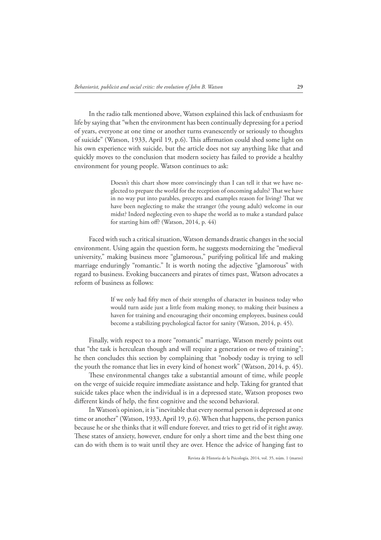In the radio talk mentioned above, Watson explained this lack of enthusiasm for life by saying that "when the environment has been continually depressing for a period of years, everyone at one time or another turns evanescently or seriously to thoughts of suicide" (Watson, 1933, April 19, p.6). This affirmation could shed some light on his own experience with suicide, but the article does not say anything like that and quickly moves to the conclusion that modern society has failed to provide a healthy environment for young people. Watson continues to ask:

> Doesn't this chart show more convincingly than I can tell it that we have neglected to prepare the world for the reception of oncoming adults? That we have in no way put into parables, precepts and examples reason for living? That we have been neglecting to make the stranger (the young adult) welcome in our midst? Indeed neglecting even to shape the world as to make a standard palace for starting him off? (Watson, 2014, p.  $44$ )

Faced with such a critical situation, Watson demands drastic changes in the social environment. Using again the question form, he suggests modernizing the "medieval university," making business more "glamorous," purifying political life and making marriage enduringly "romantic." It is worth noting the adjective "glamorous" with regard to business. Evoking buccaneers and pirates of times past, Watson advocates a reform of business as follows:

> If we only had fifty men of their strengths of character in business today who would turn aside just a little from making money, to making their business a haven for training and encouraging their oncoming employees, business could become a stabilizing psychological factor for sanity (Watson, 2014, p. 45).

Finally, with respect to a more "romantic" marriage, Watson merely points out that "the task is herculean though and will require a generation or two of training"; he then concludes this section by complaining that "nobody today is trying to sell the youth the romance that lies in every kind of honest work" (Watson, 2014, p. 45).

These environmental changes take a substantial amount of time, while people on the verge of suicide require immediate assistance and help. Taking for granted that suicide takes place when the individual is in a depressed state, Watson proposes two different kinds of help, the first cognitive and the second behavioral.

In Watson's opinion, it is "inevitable that every normal person is depressed at one time or another" (Watson, 1933, April 19, p.6). When that happens, the person panics because he or she thinks that it will endure forever, and tries to get rid of it right away. These states of anxiety, however, endure for only a short time and the best thing one can do with them is to wait until they are over. Hence the advice of hanging fast to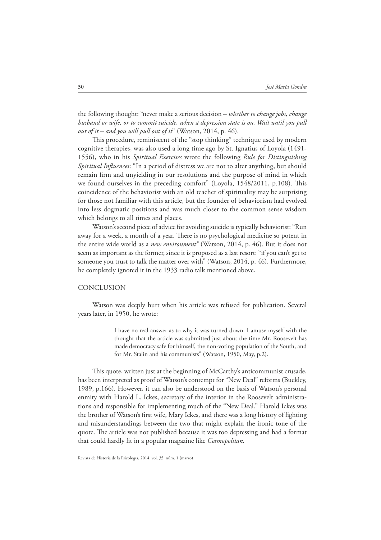the following thought: "never make a serious decision – *whether to change jobs, change husband or wife, or to commit suicide, when a depression state is on. Wait until you pull out of it – and you will pull out of it*" (Watson, 2014, p. 46).

This procedure, reminiscent of the "stop thinking" technique used by modern cognitive therapies, was also used a long time ago by St. Ignatius of Loyola (1491- 1556), who in his *Spiritual Exercises* wrote the following *Rule for Distinguishing Spiritual Influences*: "In a period of distress we are not to alter anything, but should remain firm and unyielding in our resolutions and the purpose of mind in which we found ourselves in the preceding comfort" (Loyola, 1548/2011, p.108). This coincidence of the behaviorist with an old teacher of spirituality may be surprising for those not familiar with this article, but the founder of behaviorism had evolved into less dogmatic positions and was much closer to the common sense wisdom which belongs to all times and places.

Watson's second piece of advice for avoiding suicide is typically behaviorist: "Run away for a week, a month of a year. There is no psychological medicine so potent in the entire wide world as a *new environment"* (Watson, 2014, p. 46). But it does not seem as important as the former, since it is proposed as a last resort: "if you can't get to someone you trust to talk the matter over with" (Watson, 2014, p. 46). Furthermore, he completely ignored it in the 1933 radio talk mentioned above.

#### CONCLUSION

Watson was deeply hurt when his article was refused for publication. Several years later, in 1950, he wrote:

> I have no real answer as to why it was turned down. I amuse myself with the thought that the article was submitted just about the time Mr. Roosevelt has made democracy safe for himself, the non-voting population of the South, and for Mr. Stalin and his communists" (Watson, 1950, May, p.2).

This quote, written just at the beginning of McCarthy's anticommunist crusade, has been interpreted as proof of Watson's contempt for "New Deal" reforms (Buckley, 1989, p.166). However, it can also be understood on the basis of Watson's personal enmity with Harold L. Ickes, secretary of the interior in the Roosevelt administrations and responsible for implementing much of the "New Deal." Harold Ickes was the brother of Watson's first wife, Mary Ickes, and there was a long history of fighting and misunderstandings between the two that might explain the ironic tone of the quote. The article was not published because it was too depressing and had a format that could hardly At in a popular magazine like *Cosmopolitan.*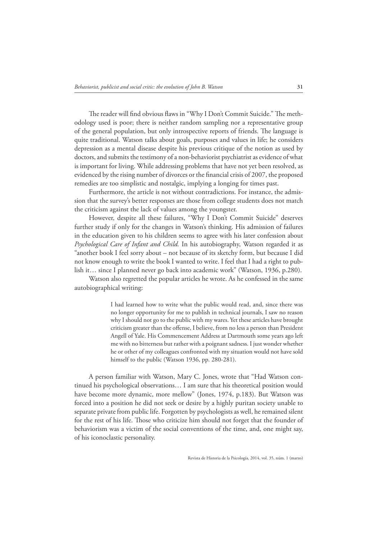The reader will find obvious flaws in "Why I Don't Commit Suicide." The methodology used is poor; there is neither random sampling nor a representative group of the general population, but only introspective reports of friends. The language is quite traditional. Watson talks about goals, purposes and values in life; he considers depression as a mental disease despite his previous critique of the notion as used by doctors, and submits the testimony of a non-behaviorist psychiatrist as evidence of what is important for living. While addressing problems that have not yet been resolved, as evidenced by the rising number of divorces or the financial crisis of 2007, the proposed remedies are too simplistic and nostalgic, implying a longing for times past.

Furthermore, the article is not without contradictions. For instance, the admission that the survey's better responses are those from college students does not match the criticism against the lack of values among the youngster.

However, despite all these failures, "Why I Don't Commit Suicide" deserves further study if only for the changes in Watson's thinking. His admission of failures in the education given to his children seems to agree with his later confession about *Psychological Care of Infant and Child.* In his autobiography, Watson regarded it as "another book I feel sorry about – not because of its sketchy form, but because I did not know enough to write the book I wanted to write. I feel that I had a right to publish it… since I planned never go back into academic work" (Watson, 1936, p.280).

Watson also regretted the popular articles he wrote. As he confessed in the same autobiographical writing:

> I had learned how to write what the public would read, and, since there was no longer opportunity for me to publish in technical journals, I saw no reason why I should not go to the public with my wares. Yet these articles have brought criticism greater than the offense, I believe, from no less a person than President Angell of Yale. His Commencement Address at Dartmouth some years ago left me with no bitterness but rather with a poignant sadness. I just wonder whether he or other of my colleagues confronted with my situation would not have sold himself to the public (Watson 1936, pp. 280-281).

A person familiar with Watson, Mary C. Jones, wrote that "Had Watson continued his psychological observations… I am sure that his theoretical position would have become more dynamic, more mellow" (Jones, 1974, p.183). But Watson was forced into a position he did not seek or desire by a highly puritan society unable to separate private from public life. Forgotten by psychologists as well, he remained silent for the rest of his life. Those who criticize him should not forget that the founder of behaviorism was a victim of the social conventions of the time, and, one might say, of his iconoclastic personality.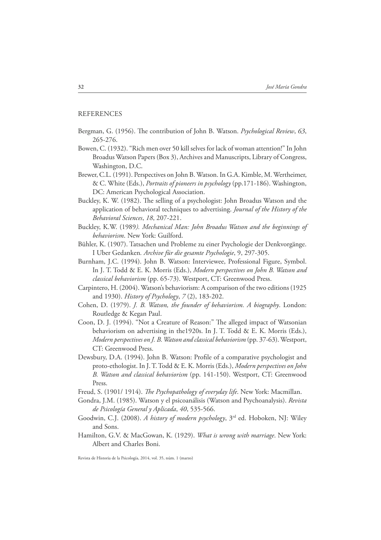# REFERENCES

- Bergman, G. (1956). Le contribution of John B. Watson. *Psychological Review*, *63*, 265-276.
- Bowen, C. (1932). "Rich men over 50 kill selves for lack of woman attention!" In John Broadus Watson Papers (Box 3), Archives and Manuscripts, Library of Congress, Washington, D.C.
- Brewer, C.L. (1991). Perspectives on John B. Watson. In G.A. Kimble, M. Wertheimer, & C. White (Eds.), *Portraits of pioneers in psychology* (pp.171-186). Washington, DC: American Psychological Association.
- Buckley, K. W. (1982). The selling of a psychologist: John Broadus Watson and the application of behavioral techniques to advertising. *Journal of the History of the Behavioral Sciences*, *18*, 207-221.
- Buckley, K.W. (1989*). Mechanical Man: John Broadus Watson and the beginnings of behaviorism*. New York: Guilford.
- Bühler, K. (1907). Tatsachen und Probleme zu einer Psychologie der Denkvorgänge. I Uber Gedanken*. Archive für die gesamte Psychologie*, 9, 297-305.
- Burnham, J.C. (1994). John B. Watson: Interviewee, Professional Figure, Symbol. In J. T. Todd & E. K. Morris (Eds.), *Modern perspectives on John B. Watson and classical behaviorism* (pp. 65-73). Westport, CT: Greenwood Press.
- Carpintero, H. (2004). Watson's behaviorism: A comparison of the two editions (1925 and 1930). *History of Psychology*, *7* (2), 183-202.
- Cohen, D. (1979). *J. B. Watson, the founder of behaviorism. A biography*. London: Routledge & Kegan Paul.
- Coon, D. J. (1994). "Not a Creature of Reason:" The alleged impact of Watsonian behaviorism on advertising in the1920s. In J. T. Todd & E. K. Morris (Eds.), *Modern perspectives on J. B. Watson and classical behaviorism* (pp. 37-63). Westport, CT: Greenwood Press.
- Dewsbury, D.A. (1994). John B. Watson: Profile of a comparative psychologist and proto-ethologist. In J. T. Todd & E. K. Morris (Eds.), *Modern perspectives on John B. Watson and classical behaviorism* (pp. 141-150). Westport, CT: Greenwood Press.
- Freud, S. (1901/ 1914). *The Psychopathology of everyday life*. New York: Macmillan.
- Gondra, J.M. (1985). Watson y el psicoanálisis (Watson and Psychoanalysis). *Revista de Psicología General y Aplicada*, *40*, 535-566.
- Goodwin, C.J. (2008). *A history of modern psychology*, 3rd ed. Hoboken, NJ: Wiley and Sons.
- Hamilton, G.V. & MacGowan, K. (1929). *What is wrong with marriage*. New York: Albert and Charles Boni.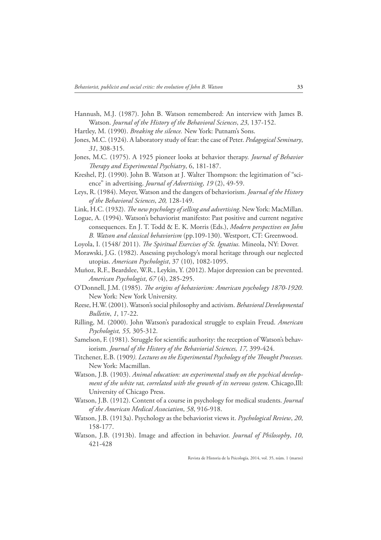Hannush, M.J. (1987). John B. Watson remembered: An interview with James B. Watson. *Journal of the History of the Behavioral Sciences*, *23*, 137-152.

Hartley, M. (1990). *Breaking the silence.* New York: Putnam's Sons.

- Jones, M.C. (1924). A laboratory study of fear: the case of Peter. *Pedagogical Seminary*, *31*, 308-315.
- Jones, M.C. (1975). A 1925 pioneer looks at behavior therapy. *Journal of Behavior !erapy and Experimental Psychiatry*, 6, 181-187.
- Kreshel, P.J. (1990). John B. Watson at J. Walter Thompson: the legitimation of "science" in advertising. *Journal of Advertising*, *19* (2), 49-59.
- Leys, R. (1984). Meyer, Watson and the dangers of behaviorism. *Journal of the History of the Behavioral Sciences*, *20,* 128-149.
- Link, H.C. (1932). *The new psychology of selling and advertising*. New York: MacMillan.
- Logue, A. (1994). Watson's behaviorist manifesto: Past positive and current negative consequences. En J. T. Todd & E. K. Morris (Eds.), *Modern perspectives on John B. Watson and classical behaviorism* (pp.109-130). Westport, CT: Greenwood.
- Loyola, I. (1548/2011). *The Spiritual Exercises of St. Ignatius.* Mineola, NY: Dover.
- Morawski, J.G. (1982). Assessing psychology's moral heritage through our neglected utopias. *American Psychologist*, 37 (10), 1082-1095.
- Muñoz, R.F., Beardslee, W.R., Leykin, Y. (2012). Major depression can be prevented. *American Psychologist*, *67* (4), 285-295.
- O'Donnell, J.M. (1985). *The origins of behaviorism: American psychology 1870-1920*. New York: New York University.
- Reese, H.W. (2001). Watson's social philosophy and activism. *Behavioral Developmental Bulletin*, *1*, 17-22.
- Rilling, M. (2000). John Watson's paradoxical struggle to explain Freud. *American Psychologist, 55,* 305-312.
- Samelson, F. (1981). Struggle for scientific authority: the reception of Watson's behaviorism. *Journal of the History of the Behaviorial Sciences, 17,* 399-424.
- Titchener, E.B. (1909*). Lectures on the Experimental Psychology of the Thought Processes.* New York: Macmillan.
- Watson, J.B. (1903). *Animal education: an experimental study on the psychical development of the white rat, correlated with the growth of its nervous system*. Chicago,Ill: University of Chicago Press.
- Watson, J.B. (1912). Content of a course in psychology for medical students. *Journal of the American Medical Association*, *58*, 916-918.
- Watson, J.B. (1913a). Psychology as the behaviorist views it. *Psychological Review*, *20*, 158-177.
- Watson, J.B. (1913b). Image and affection in behavior. *Journal of Philosophy*, 10, 421-428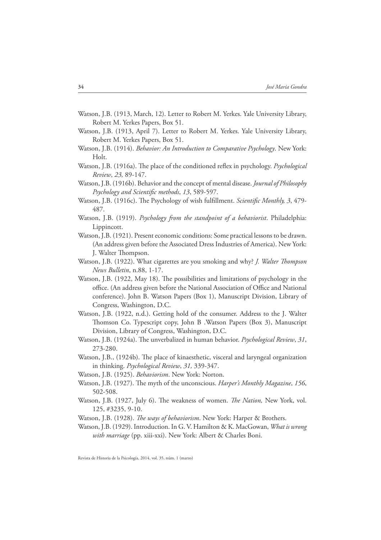- Watson, J.B. (1913, March, 12). Letter to Robert M. Yerkes. Yale University Library, Robert M. Yerkes Papers, Box 51.
- Watson, J.B. (1913, April 7). Letter to Robert M. Yerkes. Yale University Library, Robert M. Yerkes Papers, Box 51.
- Watson, J.B. (1914). *Behavior: An Introduction to Comparative Psychology*. New York: Holt.
- Watson, J.B. (1916a). The place of the conditioned reflex in psychology. *Psychological Review*, *23,* 89-147.
- Watson, J.B. (1916b). Behavior and the concept of mental disease. *Journal of Philosophy*  Psychology and Scientific methods, 13, 589-597.
- Watson, J.B. (1916c). The Psychology of wish fulfillment. *Scientific Monthly, 3*, 479-487.
- Watson, J.B. (1919). *Psychology from the standpoint of a behaviorist*. Philadelphia: Lippincott.
- Watson, J.B. (1921). Present economic conditions: Some practical lessons to be drawn. (An address given before the Associated Dress Industries of America). New York: J. Walter Thompson.
- Watson, J.B. (1922). What cigarettes are you smoking and why? *J. Walter Thompson News Bulletin*, n.88, 1-17.
- Watson, J.B. (1922, May 18). The possibilities and limitations of psychology in the office. (An address given before the National Association of Office and National conference). John B. Watson Papers (Box 1), Manuscript Division, Library of Congress, Washington, D.C.
- Watson, J.B. (1922, n.d.). Getting hold of the consumer. Address to the J. Walter Thomson Co. Typescript copy, John B . Watson Papers (Box 3), Manuscript Division, Library of Congress, Washington, D.C.
- Watson, J.B. (1924a). The unverbalized in human behavior. *Psychological Review*, 31, 273-280.
- Watson, J.B., (1924b). The place of kinaesthetic, visceral and laryngeal organization in thinking. *Psychological Review*, *31,* 339-347.
- Watson, J.B. (1925). *Behaviorism*. New York: Norton.
- Watson, J.B. (1927). The myth of the unconscious. *Harper's Monthly Magazine*, 156, 502-508.
- Watson, J.B. (1927, July 6). The weakness of women. *The Nation*, New York, vol. 125, #3235, 9-10.
- Watson, J.B. (1928). *The ways of behaviorism*. New York: Harper & Brothers.
- Watson, J.B. (1929). Introduction. In G. V. Hamilton & K. MacGowan, *What is wrong with marriage* (pp. xiii-xxi). New York: Albert & Charles Boni.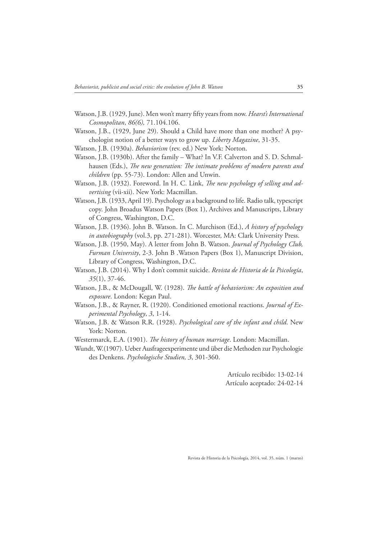- Watson, J.B. (1929, June). Men won't marry fifty years from now. *Hearst's International Cosmopolitan*, *86(6),* 71.104.106.
- Watson, J.B., (1929, June 29). Should a Child have more than one mother? A psychologist notion of a better ways to grow up. *Liberty Magazine*, 31-35.
- Watson, J.B. (1930a). *Behaviorism* (rev. ed.) New York: Norton.
- Watson, J.B. (1930b). After the family What? In V.F. Calverton and S. D. Schmalhausen (Eds.), *The new generation: The intimate problems of modern parents and children* (pp. 55-73). London: Allen and Unwin.
- Watson, J.B. (1932). Foreword. In H. C. Link, *The new psychology of selling and advertising* (vii-xii). New York: Macmillan.
- Watson, J.B. (1933, April 19). Psychology as a background to life. Radio talk, typescript copy. John Broadus Watson Papers (Box 1), Archives and Manuscripts, Library of Congress, Washington, D.C.
- Watson, J.B. (1936). John B. Watson. In C. Murchison (Ed.), *A history of psychology in autobiography* (vol.3, pp. 271-281). Worcester, MA: Clark University Press.
- Watson, J.B. (1950, May). A letter from John B. Watson. *Journal of Psychology Club, Furman University*, 2-3. John B .Watson Papers (Box 1), Manuscript Division, Library of Congress, Washington, D.C.
- Watson, J.B. (2014). Why I don't commit suicide. *Revista de Historia de la Psicología*, *35*(1), 37-46.
- Watson, J.B., & McDougall, W. (1928). *The battle of behaviorism: An exposition and exposure*. London: Kegan Paul.
- Watson, J.B., & Rayner, R. (1920). Conditioned emotional reactions. *Journal of Experimental Psychology*, *3*, 1-14.
- Watson, J.B. & Watson R.R. (1928). *Psychological care of the infant and child*. New York: Norton.
- Westermarck, E.A. (1901). *The history of human marriage*. London: Macmillan.
- Wundt, W.(1907). Ueber Ausfrageexperimente und über die Methoden zur Psychologie des Denkens. *Psychologische Studien, 3*, 301-360.

Artículo recibido: 13-02-14 Artículo aceptado: 24-02-14